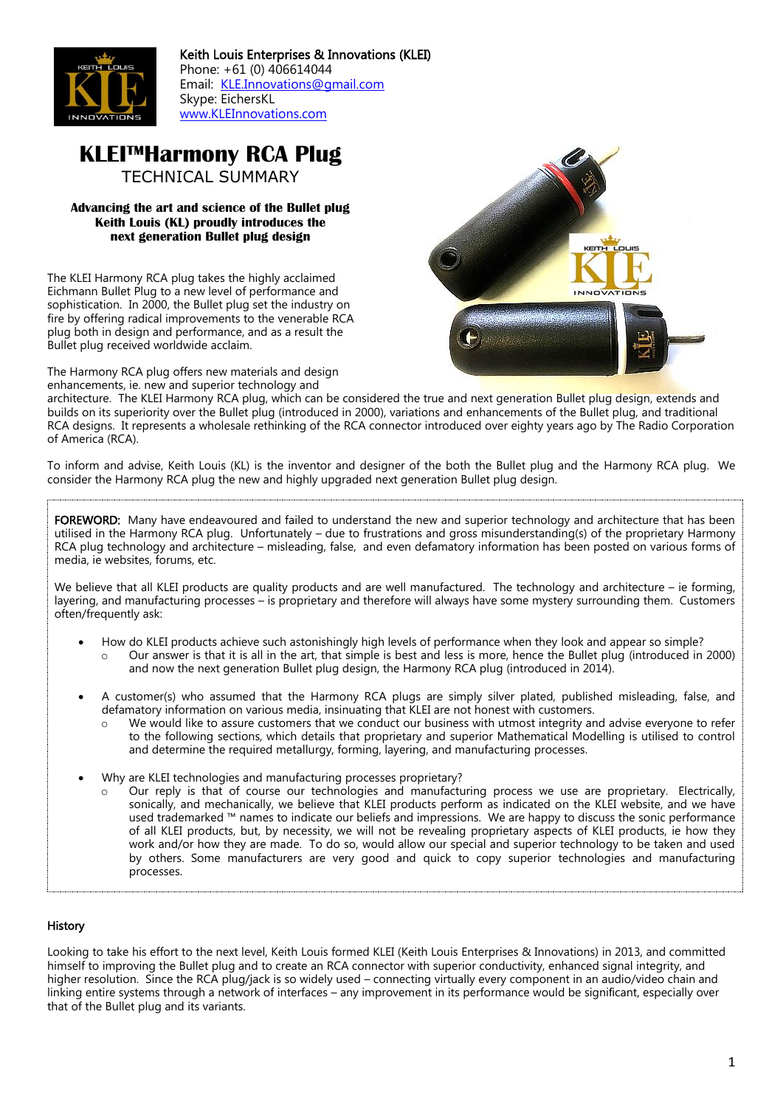

# **KLEI™Harmony RCA Plug** TECHNICAL SUMMARY

### **Advancing the art and science of the Bullet plug Keith Louis (KL) proudly introduces the next generation Bullet plug design**

The KLEI Harmony RCA plug takes the highly acclaimed Eichmann Bullet Plug to a new level of performance and sophistication. In 2000, the Bullet plug set the industry on fire by offering radical improvements to the venerable RCA plug both in design and performance, and as a result the Bullet plug received worldwide acclaim.

The Harmony RCA plug offers new materials and design enhancements, ie. new and superior technology and



To inform and advise, Keith Louis (KL) is the inventor and designer of the both the Bullet plug and the Harmony RCA plug. We consider the Harmony RCA plug the new and highly upgraded next generation Bullet plug design.

FOREWORD: Many have endeavoured and failed to understand the new and superior technology and architecture that has been utilised in the Harmony RCA plug. Unfortunately – due to frustrations and gross misunderstanding(s) of the proprietary Harmony RCA plug technology and architecture – misleading, false, and even defamatory information has been posted on various forms of media, ie websites, forums, etc.

We believe that all KLEI products are quality products and are well manufactured. The technology and architecture – ie forming, layering, and manufacturing processes – is proprietary and therefore will always have some mystery surrounding them. Customers often/frequently ask:

- How do KLEI products achieve such astonishingly high levels of performance when they look and appear so simple?
	- Our answer is that it is all in the art, that simple is best and less is more, hence the Bullet plug (introduced in 2000) and now the next generation Bullet plug design, the Harmony RCA plug (introduced in 2014).
- A customer(s) who assumed that the Harmony RCA plugs are simply silver plated, published misleading, false, and defamatory information on various media, insinuating that KLEI are not honest with customers.
	- o We would like to assure customers that we conduct our business with utmost integrity and advise everyone to refer to the following sections, which details that proprietary and superior Mathematical Modelling is utilised to control and determine the required metallurgy, forming, layering, and manufacturing processes.
- Why are KLEI technologies and manufacturing processes proprietary?
	- o Our reply is that of course our technologies and manufacturing process we use are proprietary. Electrically, sonically, and mechanically, we believe that KLEI products perform as indicated on the KLEI website, and we have used trademarked ™ names to indicate our beliefs and impressions. We are happy to discuss the sonic performance of all KLEI products, but, by necessity, we will not be revealing proprietary aspects of KLEI products, ie how they work and/or how they are made. To do so, would allow our special and superior technology to be taken and used by others. Some manufacturers are very good and quick to copy superior technologies and manufacturing processes.

#### **History**

Looking to take his effort to the next level, Keith Louis formed KLEI (Keith Louis Enterprises & Innovations) in 2013, and committed himself to improving the Bullet plug and to create an RCA connector with superior conductivity, enhanced signal integrity, and higher resolution. Since the RCA plug/jack is so widely used – connecting virtually every component in an audio/video chain and linking entire systems through a network of interfaces – any improvement in its performance would be significant, especially over that of the Bullet plug and its variants.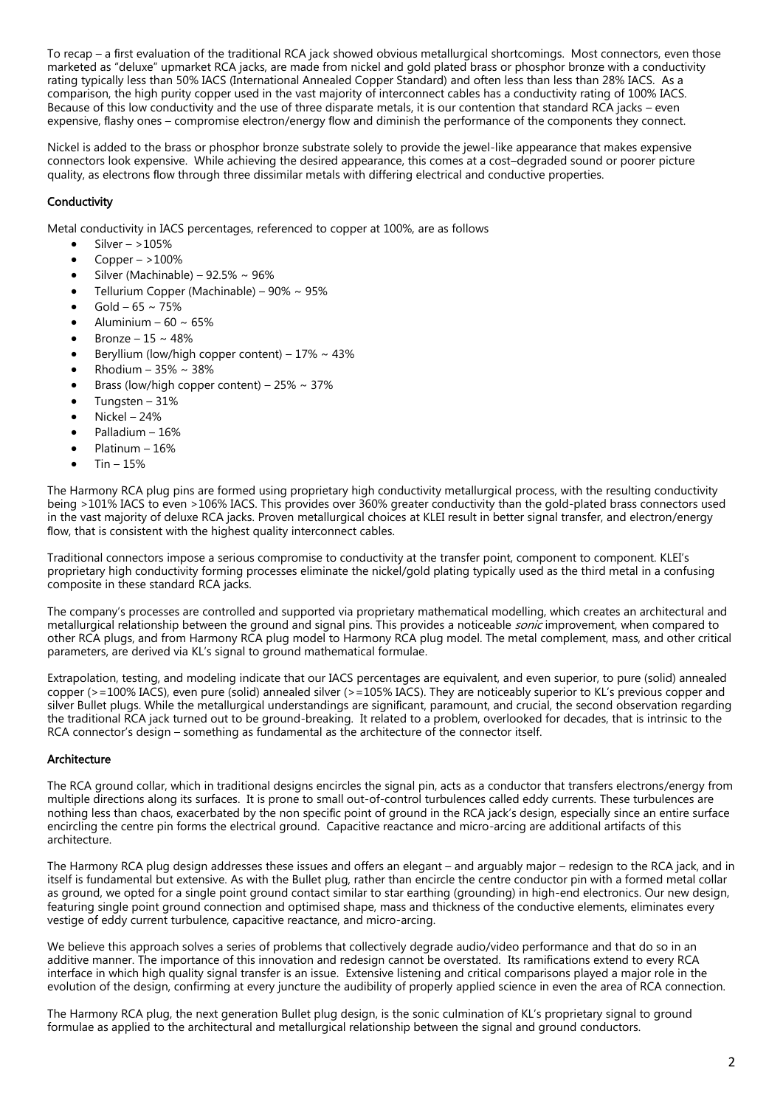To recap – a first evaluation of the traditional RCA jack showed obvious metallurgical shortcomings. Most connectors, even those marketed as "deluxe" upmarket RCA jacks, are made from nickel and gold plated brass or phosphor bronze with a conductivity rating typically less than 50% IACS (International Annealed Copper Standard) and often less than less than 28% IACS. As a comparison, the high purity copper used in the vast majority of interconnect cables has a conductivity rating of 100% IACS. Because of this low conductivity and the use of three disparate metals, it is our contention that standard RCA jacks – even expensive, flashy ones – compromise electron/energy flow and diminish the performance of the components they connect.

Nickel is added to the brass or phosphor bronze substrate solely to provide the jewel-like appearance that makes expensive connectors look expensive. While achieving the desired appearance, this comes at a cost–degraded sound or poorer picture quality, as electrons flow through three dissimilar metals with differing electrical and conductive properties.

## **Conductivity**

Metal conductivity in IACS percentages, referenced to copper at 100%, are as follows

- Silver  $-$  >105%
- Copper  $-$  >100%
- Silver (Machinable) 92.5% ~ 96%
- Tellurium Copper (Machinable) 90% ~ 95%
- $Gold 65 \sim 75%$
- Aluminium  $60 \approx 65\%$
- Bronze  $15 \sim 48\%$
- Beryllium (low/high copper content)  $17\% \sim 43\%$
- Rhodium 35% ~ 38%
- Brass (low/high copper content)  $25\% \sim 37\%$
- Tungsten 31%
- Nickel 24%
- Palladium 16%
- Platinum 16%
- Tin 15%

The Harmony RCA plug pins are formed using proprietary high conductivity metallurgical process, with the resulting conductivity being >101% IACS to even >106% IACS. This provides over 360% greater conductivity than the gold-plated brass connectors used in the vast majority of deluxe RCA jacks. Proven metallurgical choices at KLEI result in better signal transfer, and electron/energy flow, that is consistent with the highest quality interconnect cables.

Traditional connectors impose a serious compromise to conductivity at the transfer point, component to component. KLEI's proprietary high conductivity forming processes eliminate the nickel/gold plating typically used as the third metal in a confusing composite in these standard RCA jacks.

The company's processes are controlled and supported via proprietary mathematical modelling, which creates an architectural and metallurgical relationship between the ground and signal pins. This provides a noticeable *sonic* improvement, when compared to other RCA plugs, and from Harmony RCA plug model to Harmony RCA plug model. The metal complement, mass, and other critical parameters, are derived via KL's signal to ground mathematical formulae.

Extrapolation, testing, and modeling indicate that our IACS percentages are equivalent, and even superior, to pure (solid) annealed copper (>=100% IACS), even pure (solid) annealed silver (>=105% IACS). They are noticeably superior to KL's previous copper and silver Bullet plugs. While the metallurgical understandings are significant, paramount, and crucial, the second observation regarding the traditional RCA jack turned out to be ground-breaking. It related to a problem, overlooked for decades, that is intrinsic to the RCA connector's design – something as fundamental as the architecture of the connector itself.

#### Architecture

The RCA ground collar, which in traditional designs encircles the signal pin, acts as a conductor that transfers electrons/energy from multiple directions along its surfaces. It is prone to small out-of-control turbulences called eddy currents. These turbulences are nothing less than chaos, exacerbated by the non specific point of ground in the RCA jack's design, especially since an entire surface encircling the centre pin forms the electrical ground. Capacitive reactance and micro-arcing are additional artifacts of this architecture.

The Harmony RCA plug design addresses these issues and offers an elegant – and arguably major – redesign to the RCA jack, and in itself is fundamental but extensive. As with the Bullet plug, rather than encircle the centre conductor pin with a formed metal collar as ground, we opted for a single point ground contact similar to star earthing (grounding) in high-end electronics. Our new design, featuring single point ground connection and optimised shape, mass and thickness of the conductive elements, eliminates every vestige of eddy current turbulence, capacitive reactance, and micro-arcing.

We believe this approach solves a series of problems that collectively degrade audio/video performance and that do so in an additive manner. The importance of this innovation and redesign cannot be overstated. Its ramifications extend to every RCA interface in which high quality signal transfer is an issue. Extensive listening and critical comparisons played a major role in the evolution of the design, confirming at every juncture the audibility of properly applied science in even the area of RCA connection.

The Harmony RCA plug, the next generation Bullet plug design, is the sonic culmination of KL's proprietary signal to ground formulae as applied to the architectural and metallurgical relationship between the signal and ground conductors.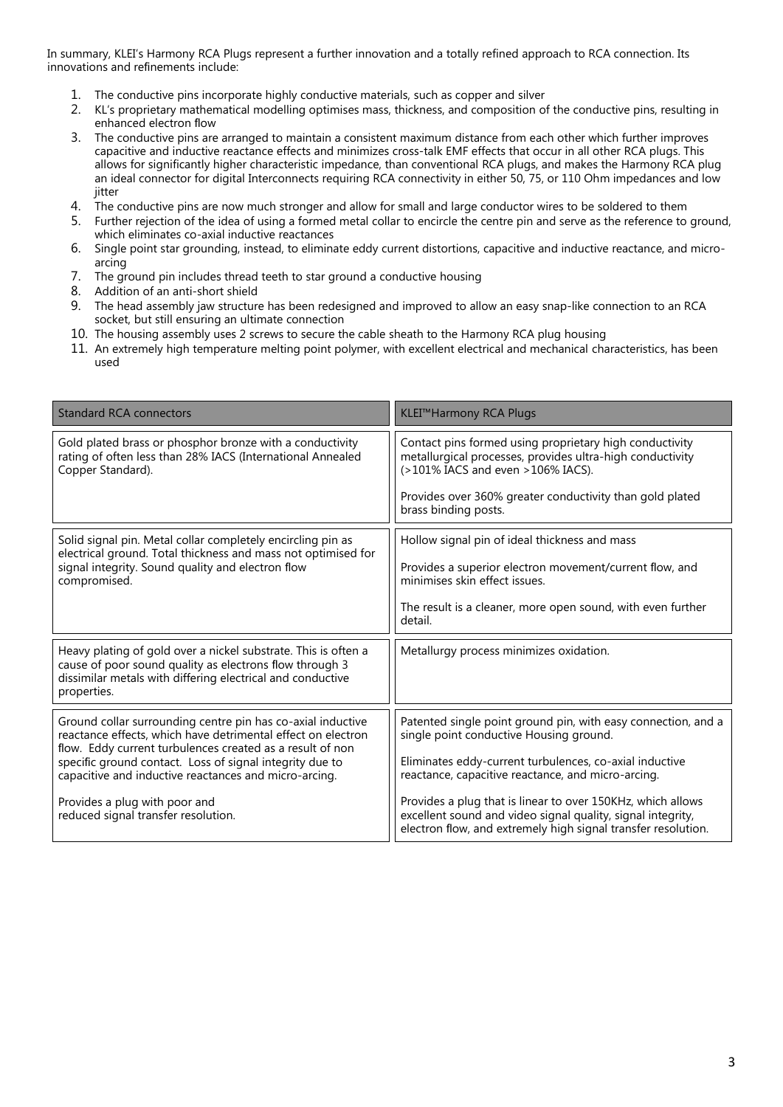In summary, KLEI's Harmony RCA Plugs represent a further innovation and a totally refined approach to RCA connection. Its innovations and refinements include:

- 1. The conductive pins incorporate highly conductive materials, such as copper and silver
- 2. KL's proprietary mathematical modelling optimises mass, thickness, and composition of the conductive pins, resulting in enhanced electron flow
- 3. The conductive pins are arranged to maintain a consistent maximum distance from each other which further improves capacitive and inductive reactance effects and minimizes cross-talk EMF effects that occur in all other RCA plugs. This allows for significantly higher characteristic impedance, than conventional RCA plugs, and makes the Harmony RCA plug an ideal connector for digital Interconnects requiring RCA connectivity in either 50, 75, or 110 Ohm impedances and low jitter
- 4. The conductive pins are now much stronger and allow for small and large conductor wires to be soldered to them
- 5. Further rejection of the idea of using a formed metal collar to encircle the centre pin and serve as the reference to ground, which eliminates co-axial inductive reactances
- 6. Single point star grounding, instead, to eliminate eddy current distortions, capacitive and inductive reactance, and microarcing
- 7. The ground pin includes thread teeth to star ground a conductive housing
- 8. Addition of an anti-short shield
- 9. The head assembly jaw structure has been redesigned and improved to allow an easy snap-like connection to an RCA socket, but still ensuring an ultimate connection
- 10. The housing assembly uses 2 screws to secure the cable sheath to the Harmony RCA plug housing
- 11. An extremely high temperature melting point polymer, with excellent electrical and mechanical characteristics, has been used

| <b>Standard RCA connectors</b>                                                                                                                                                                                                                                                                                | KLEI™Harmony RCA Plugs                                                                                                                                                                      |
|---------------------------------------------------------------------------------------------------------------------------------------------------------------------------------------------------------------------------------------------------------------------------------------------------------------|---------------------------------------------------------------------------------------------------------------------------------------------------------------------------------------------|
| Gold plated brass or phosphor bronze with a conductivity<br>rating of often less than 28% IACS (International Annealed<br>Copper Standard).                                                                                                                                                                   | Contact pins formed using proprietary high conductivity<br>metallurgical processes, provides ultra-high conductivity<br>(>101% IACS and even >106% IACS).                                   |
|                                                                                                                                                                                                                                                                                                               | Provides over 360% greater conductivity than gold plated<br>brass binding posts.                                                                                                            |
| Solid signal pin. Metal collar completely encircling pin as<br>electrical ground. Total thickness and mass not optimised for<br>signal integrity. Sound quality and electron flow<br>compromised.                                                                                                             | Hollow signal pin of ideal thickness and mass                                                                                                                                               |
|                                                                                                                                                                                                                                                                                                               | Provides a superior electron movement/current flow, and<br>minimises skin effect issues.                                                                                                    |
|                                                                                                                                                                                                                                                                                                               | The result is a cleaner, more open sound, with even further<br>detail.                                                                                                                      |
| Heavy plating of gold over a nickel substrate. This is often a<br>cause of poor sound quality as electrons flow through 3<br>dissimilar metals with differing electrical and conductive<br>properties.                                                                                                        | Metallurgy process minimizes oxidation.                                                                                                                                                     |
| Ground collar surrounding centre pin has co-axial inductive<br>reactance effects, which have detrimental effect on electron<br>flow. Eddy current turbulences created as a result of non<br>specific ground contact. Loss of signal integrity due to<br>capacitive and inductive reactances and micro-arcing. | Patented single point ground pin, with easy connection, and a<br>single point conductive Housing ground.                                                                                    |
|                                                                                                                                                                                                                                                                                                               | Eliminates eddy-current turbulences, co-axial inductive<br>reactance, capacitive reactance, and micro-arcing.                                                                               |
| Provides a plug with poor and<br>reduced signal transfer resolution.                                                                                                                                                                                                                                          | Provides a plug that is linear to over 150KHz, which allows<br>excellent sound and video signal quality, signal integrity,<br>electron flow, and extremely high signal transfer resolution. |